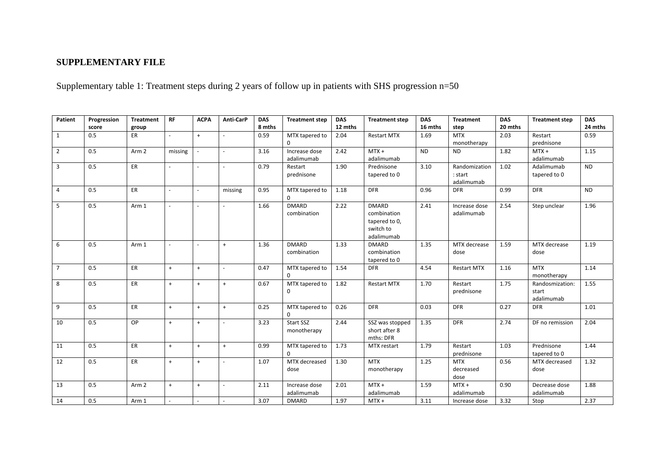## **SUPPLEMENTARY FILE**

Supplementary table 1: Treatment steps during 2 years of follow up in patients with SHS progression n=50

| Patient        | Progression<br>score | <b>Treatment</b><br>group | <b>RF</b> | <b>ACPA</b> | Anti-CarP      | <b>DAS</b><br>8 mths | <b>Treatment step</b>       | <b>DAS</b><br>12 mths | <b>Treatment step</b>                                                   | <b>DAS</b><br>16 mths | <b>Treatment</b><br>step               | <b>DAS</b><br>20 mths | <b>Treatment step</b>                  | <b>DAS</b><br>24 mths |
|----------------|----------------------|---------------------------|-----------|-------------|----------------|----------------------|-----------------------------|-----------------------|-------------------------------------------------------------------------|-----------------------|----------------------------------------|-----------------------|----------------------------------------|-----------------------|
| $\mathbf{1}$   | 0.5                  | ER                        | $\sim$    | $\ddot{}$   | $\sim$         | 0.59                 | MTX tapered to              | 2.04                  | <b>Restart MTX</b>                                                      | 1.69                  | <b>MTX</b>                             | 2.03                  | Restart                                | 0.59                  |
|                |                      |                           |           |             |                |                      |                             |                       |                                                                         |                       | monotherapy                            |                       | prednisone                             |                       |
| $\overline{2}$ | 0.5                  | Arm <sub>2</sub>          | missing   |             | $\sim$         | 3.16                 | Increase dose<br>adalimumab | 2.42                  | $MTX +$<br>adalimumab                                                   | <b>ND</b>             | <b>ND</b>                              | 1.82                  | $MTX +$<br>adalimumab                  | 1.15                  |
| $\overline{3}$ | 0.5                  | ER                        |           |             |                | 0.79                 | Restart<br>prednisone       | 1.90                  | Prednisone<br>tapered to 0                                              | 3.10                  | Randomization<br>: start<br>adalimumab | 1.02                  | Adalimumab<br>tapered to 0             | <b>ND</b>             |
| 4              | 0.5                  | ER                        | $\sim$    | $\sim$      | missing        | 0.95                 | MTX tapered to<br>$\Omega$  | 1.18                  | <b>DFR</b>                                                              | 0.96                  | <b>DFR</b>                             | 0.99                  | <b>DFR</b>                             | <b>ND</b>             |
| 5              | 0.5                  | Arm 1                     |           |             |                | 1.66                 | <b>DMARD</b><br>combination | 2.22                  | <b>DMARD</b><br>combination<br>tapered to 0,<br>switch to<br>adalimumab | 2.41                  | Increase dose<br>adalimumab            | 2.54                  | Step unclear                           | 1.96                  |
| 6              | 0.5                  | Arm 1                     | $\sim$    | $\sim$      | $\ddot{+}$     | 1.36                 | <b>DMARD</b><br>combination | 1.33                  | <b>DMARD</b><br>combination<br>tapered to 0                             | 1.35                  | MTX decrease<br>dose                   | 1.59                  | MTX decrease<br>dose                   | 1.19                  |
| $\overline{7}$ | 0.5                  | ER                        | $+$       | $\ddot{}$   | $\sim$         | 0.47                 | MTX tapered to              | 1.54                  | <b>DFR</b>                                                              | 4.54                  | <b>Restart MTX</b>                     | 1.16                  | <b>MTX</b><br>monotherapy              | 1.14                  |
| 8              | 0.5                  | ER                        | $+$       | $\ddot{}$   | $+$            | 0.67                 | MTX tapered to<br>$\Omega$  | 1.82                  | <b>Restart MTX</b>                                                      | 1.70                  | Restart<br>prednisone                  | 1.75                  | Randosmization:<br>start<br>adalimumab | 1.55                  |
| 9              | 0.5                  | ER                        | $+$       | $\ddot{}$   | $\ddot{+}$     | 0.25                 | MTX tapered to<br>$\Omega$  | 0.26                  | <b>DFR</b>                                                              | 0.03                  | <b>DFR</b>                             | 0.27                  | <b>DFR</b>                             | 1.01                  |
| 10             | 0.5                  | OP                        | $+$       | $\ddot{}$   | $\sim$         | 3.23                 | Start SSZ<br>monotherapy    | 2.44                  | SSZ was stopped<br>short after 8<br>mths: DFR                           | 1.35                  | <b>DFR</b>                             | 2.74                  | DF no remission                        | 2.04                  |
| 11             | 0.5                  | ER                        | $+$       | $\ddot{}$   | $+$            | 0.99                 | MTX tapered to<br>$\Omega$  | 1.73                  | MTX restart                                                             | 1.79                  | Restart<br>prednisone                  | 1.03                  | Prednisone<br>tapered to 0             | 1.44                  |
| 12             | 0.5                  | ER                        | $+$       | $\ddot{}$   | $\blacksquare$ | 1.07                 | MTX decreased<br>dose       | 1.30                  | <b>MTX</b><br>monotherapy                                               | 1.25                  | <b>MTX</b><br>decreased<br>dose        | 0.56                  | MTX decreased<br>dose                  | 1.32                  |
| 13             | 0.5                  | Arm <sub>2</sub>          | $+$       | $\ddot{}$   | $\sim$         | 2.11                 | Increase dose<br>adalimumab | 2.01                  | $MTX +$<br>adalimumab                                                   | 1.59                  | $MTX +$<br>adalimumab                  | 0.90                  | Decrease dose<br>adalimumab            | 1.88                  |
| 14             | 0.5                  | Arm 1                     |           |             |                | 3.07                 | <b>DMARD</b>                | 1.97                  | $MTX +$                                                                 | 3.11                  | Increase dose                          | 3.32                  | Stop                                   | 2.37                  |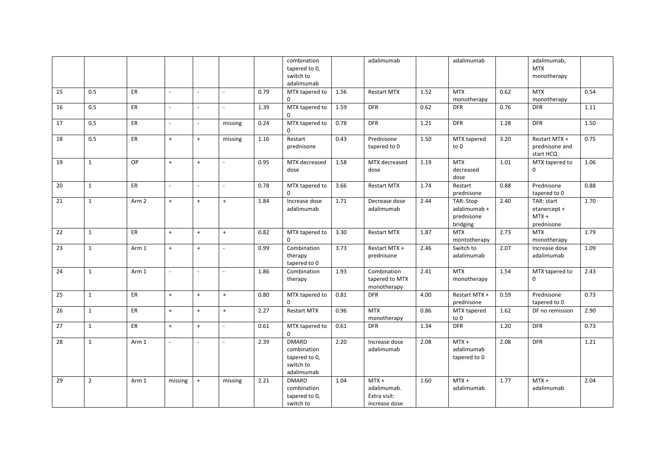|    |                |                  |                |                |                |      | combination<br>tapered to 0,                                            |      | adalimumab                                              |      | adalimumab                                          |      | adalimumab,<br><b>MTX</b>                           |      |
|----|----------------|------------------|----------------|----------------|----------------|------|-------------------------------------------------------------------------|------|---------------------------------------------------------|------|-----------------------------------------------------|------|-----------------------------------------------------|------|
|    |                |                  |                |                |                |      | switch to                                                               |      |                                                         |      |                                                     |      | monotherapy                                         |      |
|    |                |                  |                |                |                |      | adalimumab                                                              |      |                                                         |      |                                                     |      |                                                     |      |
| 15 | 0.5            | ER               | $\overline{a}$ | $\omega$       |                | 0.79 | MTX tapered to                                                          | 1.56 | <b>Restart MTX</b>                                      | 1.52 | <b>MTX</b>                                          | 0.62 | <b>MTX</b>                                          | 0.54 |
|    |                |                  |                |                |                |      | 0                                                                       |      |                                                         |      | monotherapy                                         |      | monotherapy                                         |      |
| 16 | 0.5            | ER               | $\sim$         |                |                | 1.39 | MTX tapered to<br>$\mathbf 0$                                           | 1.59 | <b>DFR</b>                                              | 0.62 | <b>DFR</b>                                          | 0.76 | <b>DFR</b>                                          | 1.11 |
| 17 | 0.5            | ER               | $\sim$         | $\sim$         | missing        | 0.24 | MTX tapered to<br>$\Omega$                                              | 0.78 | <b>DFR</b>                                              | 1.21 | <b>DFR</b>                                          | 1.28 | <b>DFR</b>                                          | 1.50 |
| 18 | 0.5            | ER               | $\ddot{}$      | $+$            | missing        | 1.16 | Restart<br>prednisone                                                   | 0.43 | Prednisone<br>tapered to 0                              | 1.50 | MTX tapered<br>to 0                                 | 3.20 | Restart MTX +<br>prednisone and<br>start HCQ        | 0.75 |
| 19 | $\mathbf{1}$   | OP               | $\ddot{}$      | $\ddot{}$      |                | 0.95 | MTX decreased<br>dose                                                   | 1.58 | MTX decreased<br>dose                                   | 1.19 | <b>MTX</b><br>decreased<br>dose                     | 1.01 | MTX tapered to<br>0                                 | 1.06 |
| 20 | $\mathbf{1}$   | ER               | $\overline{a}$ | $\overline{a}$ | $\overline{a}$ | 0.78 | MTX tapered to<br>$\Omega$                                              | 3.66 | <b>Restart MTX</b>                                      | 1.74 | Restart<br>prednisone                               | 0.88 | Prednisone<br>tapered to 0                          | 0.88 |
| 21 | $\mathbf{1}$   | Arm <sub>2</sub> | $+$            | $\ddot{}$      | $\ddot{}$      | 1.84 | Increase dose<br>adalimumab                                             | 1.71 | Decrease dose<br>adalimumab                             | 2.44 | TAR: Stop<br>adalimumab +<br>prednisone<br>bridging | 2.40 | TAR: start<br>etanercept +<br>$MTX +$<br>prednisone | 1.70 |
| 22 | $\mathbf{1}$   | ER               | $\ddot{}$      | $+$            | $+$            | 0.82 | MTX tapered to<br>$\Omega$                                              | 3.30 | <b>Restart MTX</b>                                      | 1.87 | <b>MTX</b><br>montotherapy                          | 2.73 | <b>MTX</b><br>monotherapy                           | 1.79 |
| 23 | $\mathbf{1}$   | Arm 1            | $\ddot{}$      | $\ddot{}$      |                | 0.99 | Combination<br>therapy<br>tapered to 0                                  | 3.73 | Restart MTX +<br>prednisone                             | 2.46 | Switch to<br>adalimumab                             | 2.07 | Increase dose<br>adalimumab                         | 1.09 |
| 24 | $\mathbf{1}$   | Arm 1            | $\omega$       | $\omega$       |                | 1.86 | Combination<br>therapy                                                  | 1.93 | Combination<br>tapered to MTX<br>monotherapy            | 2.41 | <b>MTX</b><br>monotherapy                           | 1.54 | MTX tapered to<br>$\mathbf 0$                       | 2.43 |
| 25 | $\mathbf{1}$   | ER               | $+$            | $+$            | $\ddot{+}$     | 0.80 | MTX tapered to<br>$\mathbf 0$                                           | 0.81 | <b>DFR</b>                                              | 4.00 | Restart MTX +<br>prednisone                         | 0.59 | Prednisone<br>tapered to 0                          | 0.73 |
| 26 | $\mathbf{1}$   | ER               | $+$            | $+$            | $+$            | 2.27 | <b>Restart MTX</b>                                                      | 0.96 | <b>MTX</b><br>monotherapy                               | 0.86 | MTX tapered<br>to 0                                 | 1.62 | DF no remission                                     | 2.90 |
| 27 | $\mathbf{1}$   | ER               | $\ddot{}$      | $+$            | $\blacksquare$ | 0.61 | MTX tapered to<br>$\mathbf 0$                                           | 0.61 | <b>DFR</b>                                              | 1.34 | <b>DFR</b>                                          | 1.20 | <b>DFR</b>                                          | 0.73 |
| 28 | $\mathbf{1}$   | Arm 1            | $\sim$         | $\sim$         |                | 2.39 | <b>DMARD</b><br>combination<br>tapered to 0,<br>switch to<br>adalimumab | 2.20 | Increase dose<br>adalimumab                             | 2.08 | $MTX +$<br>adalimumab<br>tapered to 0               | 2.08 | <b>DFR</b>                                          | 1.21 |
| 29 | $\overline{2}$ | Arm 1            | missing        | $+$            | missing        | 2.21 | <b>DMARD</b><br>combination<br>tapered to 0,<br>switch to               | 1.04 | $MTX +$<br>adalimumab.<br>Extra visit:<br>increase dose | 1.60 | $MTX +$<br>adalimumab                               | 1.77 | $MTX +$<br>adalimumab                               | 2.04 |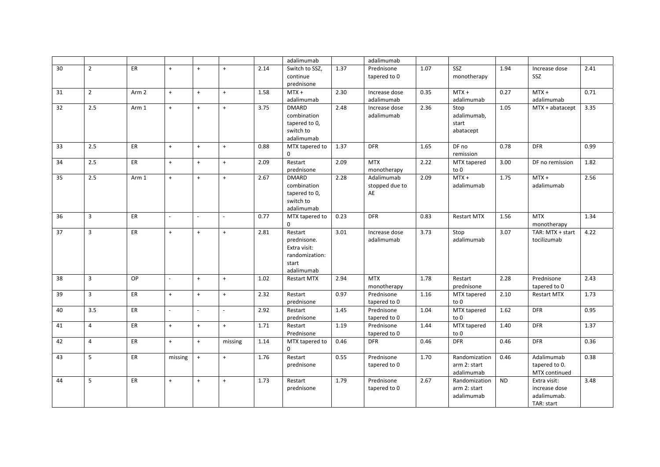|    |                |                  |         |                          |           |      | adalimumab         |      | adalimumab     |      |                    |           |                    |      |
|----|----------------|------------------|---------|--------------------------|-----------|------|--------------------|------|----------------|------|--------------------|-----------|--------------------|------|
| 30 | $\overline{2}$ | ER               | $+$     | $\ddot{}$                | $\ddot{}$ | 2.14 | Switch to SSZ,     | 1.37 | Prednisone     | 1.07 | SSZ                | 1.94      | Increase dose      | 2.41 |
|    |                |                  |         |                          |           |      | continue           |      | tapered to 0   |      | monotherapy        |           | SSZ                |      |
|    |                |                  |         |                          |           |      | prednisone         |      |                |      |                    |           |                    |      |
| 31 | $\overline{2}$ | Arm <sub>2</sub> | $+$     | $+$                      | $+$       | 1.58 | $MTX +$            | 2.30 | Increase dose  | 0.35 | $MTX +$            | 0.27      | $MTX +$            | 0.71 |
|    |                |                  |         |                          |           |      | adalimumab         |      | adalimumab     |      | adalimumab         |           | adalimumab         |      |
| 32 | 2.5            | Arm 1            | $+$     | $\ddot{}$                | $\ddot{}$ | 3.75 | <b>DMARD</b>       | 2.48 | Increase dose  | 2.36 | Stop               | 1.05      | $MTX + abatacept$  | 3.35 |
|    |                |                  |         |                          |           |      | combination        |      | adalimumab     |      | adalimumab,        |           |                    |      |
|    |                |                  |         |                          |           |      | tapered to 0,      |      |                |      | start              |           |                    |      |
|    |                |                  |         |                          |           |      | switch to          |      |                |      | abatacept          |           |                    |      |
|    |                |                  |         |                          |           |      | adalimumab         |      |                |      |                    |           |                    |      |
| 33 | 2.5            | ER               | $+$     | $\ddot{}$                | $\ddot{}$ | 0.88 | MTX tapered to     | 1.37 | <b>DFR</b>     | 1.65 | DF no              | 0.78      | <b>DFR</b>         | 0.99 |
|    |                |                  |         |                          |           |      | $\Omega$           |      |                |      | remission          |           |                    |      |
| 34 | 2.5            | ER.              | $+$     | $+$                      | $+$       | 2.09 | Restart            | 2.09 | <b>MTX</b>     | 2.22 | MTX tapered        | 3.00      | DF no remission    | 1.82 |
|    |                |                  |         |                          |           |      | prednisone         |      | monotherapy    |      | to 0               |           |                    |      |
| 35 | 2.5            | Arm 1            | $+$     | $\ddot{}$                | $\ddot{}$ | 2.67 | <b>DMARD</b>       | 2.28 | Adalimumab     | 2.09 | $MTX +$            | 1.75      | $MTX +$            | 2.56 |
|    |                |                  |         |                          |           |      | combination        |      | stopped due to |      | adalimumab         |           | adalimumab         |      |
|    |                |                  |         |                          |           |      | tapered to 0,      |      | AE             |      |                    |           |                    |      |
|    |                |                  |         |                          |           |      | switch to          |      |                |      |                    |           |                    |      |
|    |                |                  |         |                          |           |      | adalimumab         |      |                |      |                    |           |                    |      |
| 36 | $\overline{3}$ | <b>ER</b>        | $\sim$  | $\sim$                   | $\sim$    | 0.77 | MTX tapered to     | 0.23 | <b>DFR</b>     | 0.83 | <b>Restart MTX</b> | 1.56      | <b>MTX</b>         | 1.34 |
|    |                |                  |         |                          |           |      | $\mathbf 0$        |      |                |      |                    |           | monotherapy        |      |
| 37 | $\overline{3}$ | <b>ER</b>        | $+$     | $\ddot{}$                | $\ddot{}$ | 2.81 | Restart            | 3.01 | Increase dose  | 3.73 | Stop               | 3.07      | TAR: MTX + start   | 4.22 |
|    |                |                  |         |                          |           |      | prednisone.        |      | adalimumab     |      | adalimumab         |           | tocilizumab        |      |
|    |                |                  |         |                          |           |      | Extra visit:       |      |                |      |                    |           |                    |      |
|    |                |                  |         |                          |           |      | randomization:     |      |                |      |                    |           |                    |      |
|    |                |                  |         |                          |           |      | start              |      |                |      |                    |           |                    |      |
|    |                |                  |         |                          |           |      | adalimumab         |      |                |      |                    |           |                    |      |
| 38 | $\overline{3}$ | OP               | ÷       | $\ddot{}$                | $+$       | 1.02 | <b>Restart MTX</b> | 2.94 | <b>MTX</b>     | 1.78 | Restart            | 2.28      | Prednisone         | 2.43 |
|    |                |                  |         |                          |           |      |                    |      | monotherapy    |      | prednisone         |           | tapered to 0       |      |
| 39 | $\overline{3}$ | <b>ER</b>        | $+$     | $\ddot{}$                | $+$       | 2.32 | Restart            | 0.97 | Prednisone     | 1.16 | MTX tapered        | 2.10      | <b>Restart MTX</b> | 1.73 |
|    |                |                  |         |                          |           |      | prednisone         |      | tapered to 0   |      | to 0               |           |                    |      |
| 40 | 3.5            | <b>ER</b>        |         | $\overline{\phantom{a}}$ | $\sim$    | 2.92 | Restart            | 1.45 | Prednisone     | 1.04 | MTX tapered        | 1.62      | <b>DFR</b>         | 0.95 |
|    |                |                  |         |                          |           |      | prednisone         |      | tapered to 0   |      | to 0               |           |                    |      |
| 41 | $\overline{4}$ | ER               | $+$     | $+$                      | $+$       | 1.71 | Restart            | 1.19 | Prednisone     | 1.44 | MTX tapered        | 1.40      | <b>DFR</b>         | 1.37 |
|    |                |                  |         |                          |           |      | Prednisone         |      | tapered to 0   |      | to 0               |           |                    |      |
| 42 | $\overline{4}$ | ER.              | $+$     | $\ddot{}$                | missing   | 1.14 | MTX tapered to     | 0.46 | <b>DFR</b>     | 0.46 | <b>DFR</b>         | 0.46      | <b>DFR</b>         | 0.36 |
|    |                |                  |         |                          |           |      | $\mathbf 0$        |      |                |      |                    |           |                    |      |
| 43 | 5              | <b>ER</b>        | missing | $\ddot{}$                | $\ddot{}$ | 1.76 | Restart            | 0.55 | Prednisone     | 1.70 | Randomization      | 0.46      | Adalimumab         | 0.38 |
|    |                |                  |         |                          |           |      | prednisone         |      | tapered to 0   |      | arm 2: start       |           | tapered to 0.      |      |
|    |                |                  |         |                          |           |      |                    |      |                |      | adalimumab         |           | MTX continued      |      |
| 44 | 5              | ER.              | $+$     | $\ddot{}$                | $\ddot{}$ | 1.73 | Restart            | 1.79 | Prednisone     | 2.67 | Randomization      | <b>ND</b> | Extra visit:       | 3.48 |
|    |                |                  |         |                          |           |      | prednisone         |      | tapered to 0   |      | arm 2: start       |           | increase dose      |      |
|    |                |                  |         |                          |           |      |                    |      |                |      | adalimumab         |           | adalimumab.        |      |
|    |                |                  |         |                          |           |      |                    |      |                |      |                    |           | TAR: start         |      |